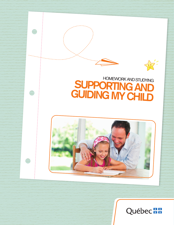

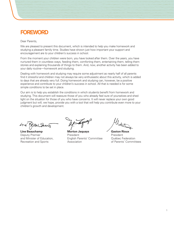# **FOREWORD**

Dear Parents,

We are pleased to present this document, which is intended to help you make homework and studying a pleasant family time. Studies have shown just how important your support and encouragement are to your children's success in school.

From the moment your children were born, you have looked after them. Over the years, you have nurtured them in countless ways, feeding them, comforting them, entertaining them, telling them stories and explaining thousands of things to them. And, now, another activity has been added to your daily routine—homework and studying.

Dealing with homework and studying may require some adjustment as nearly half of all parents find it stressful and children may not always be very enthusiastic about this activity, which is added to days that are already very full. Doing homework and studying can, however, be a positive experience and contribute to your children's success in school. All that is needed is for some simple conditions to be set in place.

Our aim is to help you establish the conditions in which students benefit from homework and studying. This document will reassure those of you who already feel sure of yourselves and shed light on the situation for those of you who have concerns. It will never replace your own good judgment but will, we hope, provide you with a tool that will help you contribute even more to your children's growth and development.

Line Kan Dem

**Line Beauchamp** Deputy Premier and Minister of Education, Recreation and Sports

**Morton Jaquays** President English Parents' Committee Association

**Gaston Rioux** President Québec Federation of Parents' Committees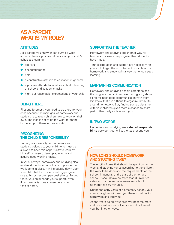# **AS A PARENT, WHAT IS MY ROLE?**

# **ATTITUDES**

As a parent, you know or can surmise what attitudes have a positive influence on your child's scholastic learning:

- approval
- encouragement
- help
- a constructive attitude to education in general
- $\bullet$  a positive attitude to what your child is learning at school and academic tasks
- high, but reasonable, expectations of your child

### **BEING THERE**

First and foremost, you need to be there for your child because the main goal of homework and studying is to teach children how to work on their own. The idea is not to do the work for them, but to support them in their efforts.

### **RECOGNIZING THE CHILD'S RESPONSIBILITY**

Primary responsibility for homework and studying belongs to your child, who must be allowed to have this opportunity to learn by himself or herself, develop autonomy and acquire good working habits.

In various ways, homework and studying also enable students to consolidate or pursue the work done in class. It will gradually dawn upon your child that he or she is making progress due to his or her own personal efforts. To get there, your child needs your support, even if homework is done somewhere other than at home.

## **SUPPORTING THE TEACHER**

Homework and studying are another way for teachers to assess the progress their students have made.

Your collaboration and support are necessary for your child to get the most benefit possible out of homework and studying in a way that encourages learning.

### **MAINTAINING COMMUNICATION**

Homework and studying enable parents to see the progress their children are making and, above all, to maintain good communication with them. We know that it is difficult to organize family life around homework. But, finding some quiet time with your children gives them a chance to share part of their daily routine with you.

### **IN TWO WORDS**

Homework and studying are a **shared responsibility** between your child, the teacher and you.

### **HOW LONG SHOULD HOMEWORK AND STUDYING TAKE?**

The length of time that should be spent on homework and studying varies according to the children, the work to be done and the requirements of the school. In general, at the start of elementary school, it should take no more than 30 minutes a day and by the end of elementary school, no more than 60 minutes.

During the early years of elementary school, your son or daughter will need you there to help with homework and studying.

As the years go on, your child will become more and more autonomous. He or she will still need you, but in other ways.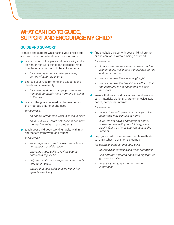# **WHAT CAN I DO TO GUIDE, SUPPORT AND ENCOURAGE MY CHILD?**

## **GUIDE AND SUPPORT**

To guide and support while taking your child's age and needs into consideration, it is important to:

- respect your child's pace and personality and to let him or her work things out because that is how he or she will learn to be autonomous
	- *for example, when a challenge arises, do not whisper the answer*
- express your requirements and expectations clearly and consistently
	- *for example, do not change your requirements about handwriting from one evening to the next*
- respect the goals pursued by the teacher and the methods that he or she uses

#### *for example,*

- *do not go further than what is asked in class*
- *do look in your child's notebook to see how the teacher solves math problems*
- teach your child good working habits within an appropriate framework and routine

*for example,* 

- *encourage your child to always have his or her school materials ready*
- *encourage your child to review course notes on a regular basis*
- *help your child plan assignments and study time for an exam*
- *ensure that your child is using his or her agenda effectively*

find a suitable place with your child where he or she can work without being disturbed

*for example,*

- *if your child prefers to do homework at the kitchen table, make sure that siblings do not disturb him or her*
- *make sure that there is enough light*
- *make sure that the television is off and that the computer is not connected to social networks*
- ensure that your child has access to all necessary materials: dictionary, grammar, calculator, books, computer, Internet

#### *for example,*

- *have a French/English dictionary, pencil and paper that they can use at home*
- *if you do not have a computer at home, schedule time with your child to go to a public library so he or she can access the Internet*
- help your child to use several simple methods to retain what he or she has learned

*for example, suggest that your child,*

- *rewrite his or her notes and make summaries*
- *use different coloured pencils to highlight or group information*
- *invent a song to learn or remember information*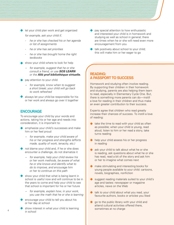let your child plan work and get organized

*for example, ask your child if,*

- *he or she has checked his or her agenda or list of assignments*
- *he or she has set priorities*
- *he or she has brought home the right textbooks*
- show your child where to look for help
	- *− for example, suggest that he or she consult a friend, or use SOS LEARN or the Allô prof bibliothèque virtuelle.*
- pay attention to your child
	- *− for example, know when to suggest a short break; your child will go back to work refreshed*
- always let your child be responsible for his or her work and always go over it together

#### **ENCOURAGE**

To encourage your child by your words and actions, taking his or her age and needs into consideration, it is important to:

- emphasize your child's successes and make him or her feel proud
	- *− for example, make your child aware of his or her progress and strengths (efforts made, quality of work, tenacity, etc.)*
- not blame your child and, if he or she does encounter a challenge, do not dramatize it
	- *− for example, help your child review his or her work methods, be aware of what he or she knows and identify what to do to improve, and encourage him or her to continue on this path*
- show your child that what is being learnt in school is useful now and will continue to be in the years to come and help your child to see that school is important for his or her future
	- *− for example, explain how, in your work, you use the math that he or she is learning*
- encourage your child to tell you about his or her day at school
- show interest in what your child is learning the sometimes at no charge the school of the school of the school in school
- pay special attention to how enthusiastic and interested your child is in homework and studying as well as school in general; there are times when he or she will need even more encouragement from you
- talk positively about school to your child; this will make him or her eager to go

#### **READING: A PASSPORT TO SUCCESS**

Homework and studying often involve reading. By supporting their children in their homework and studying, parents are also helping them learn to read, especially in Elementary Cycle One. But, there is something more parents can do—instill a love for reading in their children and thus make an even greater contribution to their success.

Experts agree that children who read greatly increase their chances of success. To instill a love of reading:

- $\bullet$  take the time to read with your child as often as possible; when your child is young, read aloud, listen to him or her read a story, take turns reading
- help your child assess his or her progress in reading
- ask your child to talk about what he or she is reading, ask questions about what he or she has read, read a bit of the story and ask him or her to imagine what comes next
- make stimulating and interesting books for young people available to your child: cartoons, novels, biographies, nonfiction
- suggest reading materials suited to your child's age and tastes: newspaper or magazine articles, news on the Web
- talk to your child about what you read, your favourite authors, books or articles you liked
- go to the public library with your child and attend cultural activities offered there,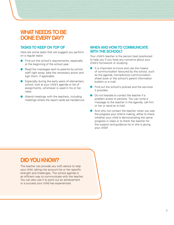# **WHAT NEEDS TO BE DONE EVERY DAY?**

### **TASKS TO KEEP ON TOP OF**

Here are some tasks that we suggest you perform on a regular basis:

- Find out the school's requirements, especially at the beginning of the school year.
- Read the messages sent to parents by school staff right away, take the necessary action and sign them, if applicable.
- Especially during the early years of elementary school, look at your child's agenda or list of assignments, whichever is used in his or her class.
- Attend meetings with the teachers, including meetings where the report cards are handed out.

#### **WHEN AND HOW TO COMMUNICATE WITH THE SCHOOL?**

Your child's teacher is the person best positioned to help you if you have any concerns about your child's homework or studying.

- It is important to know and use the means of communication favoured by the school, such as the agenda, home/school communication sheet book or the school's parent information bulletin or e-mail.
- Find out the school's policies and the services it provides.
- Do not hesitate to contact the teacher if a problem arises or persists. You can write a message to the teacher in the agenda, call him or her or send an e-mail.
- And why not contact the teacher when you see the progress your child is making, either to check whether your child is demonstrating the same progress in class or to thank the teacher for the support and guidance he or she is giving your child?

# **DID YOU KNOW?**

The teacher can provide you with advice to help your child, taking into account his or her specific strength and challenges. The school agenda is an efficient way to communicate with the teacher. You can also use it to point out an achievement or a success your child has experienced.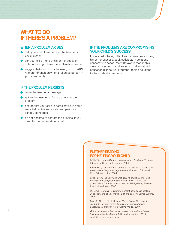# **WHAT TO DO IF THERE'S A PROBLEM?**

#### **WHEN A PROBLEM ARISES**

- help your child to remember the teacher's explanations
- ask your child if one of his or her books or notebooks might have the explanation needed
- suggest that your child call a friend, SOS LEARN, Allô prof (French only), or a resource person in your community

#### **IF THE PROBLEM PERSISTS**

- leave the teacher a message
- talk to the teacher to find solutions to the problem
- **P** ensure that your child is participating in homework help activities or catch-up periods in school, as needed
- do not hesitate to contact the principal if you need further information or help

#### **IF THE PROBLEMS ARE COMPROMISING YOUR CHILD'S SUCCESS**

If your child is facing difficulties that are compromising his or her success, seek satisfactory solutions in concert with school staff. Be aware that, in this case, your school can draw up an individualized education plan to work together to find solutions to the student's problems.

### **FURTHER READING FOR HELPING YOUR CHILD**

BÉLIVEAU, Marie-Claude. *Homework and Studying*. Montréal: Éditions du CHU Sainte-Justine, 2009.

BÉLIVEAU, Marie-Claude. *Au retour de l'école… La place des parents dans l'apprentissage scolaire*. Montréal: Éditions du CHU Sainte-Justine, 2004.

CARRIER, Gilles. *À l'heure des devoirs et des leçons : Des outils pour accompagner son enfant.* Lévis : L'école des parents de la Commission scolaire des Navigateurs, Presses Inter Universitaires, 2006.

DUCLOS, Germain. Guider mon enfant dans sa vie scolaire, 2<sup>d</sup> ed., rev. and enl. Montréal: Éditions du CHU Sainte-Justine, 2006.

MARSHALL LOCKET, Sharon. *Home Sweet Homework: A Parents Guide to Stress-Free Homework & Studying Strategies That Work*. Avon, Adams Media, 2007.

*Guide des parents. Pour mieux suivre mon enfant à l'école,* Sainte-Agathe-des-Monts, C.S. des Laurentides, 2010. Available at www.fcpq.qc.ca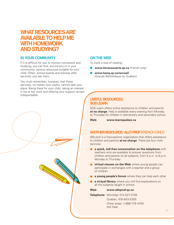# **WHAT RESOURCES ARE AVAILABLE TO HELP ME WITH HOMEWORK AND STUDYING?**

## **IN YOUR COMMUNITY**

If it is difficult for you to monitor homework and studying, you can find, around you or in your community, various resources suitable for your child. Often, school boards and schools offer services; just ask them.

You must remember, however, that these services, no matter how useful, cannot take your place. Being there for your child, taking an interest in his or her work and offering your support remain indispensable.

# **ON THE WEB**

To instill a love of reading:

- **www.livresouverts.qc.ca** (French only)
- **www.banq.qc.ca/accueil**  (Grande Bibliothèque du Québec)

### **USEFUL RESOURCES: SOS LEARN**

SOS Learn offers online assistance to children and parents **at no charge**. Help is available every evening from Monday to Thursday for children in elementary and secondary school.

**Web: www.learnquebec.ca**

# **ANOTHER RESOURCE: ALLÔ PROF**(FRENCH ONLY)

Allô prof is a francophone organization that offers assistance to children and parents **at no charge**. There are four main services:

- **a quick, toll-free conversation on the telephone** with teachers who are available to answer questions from children and parents on all subjects, from 5 p.m. to 8 p.m. Monday to Thursday
- **virtual classes on the Web** where young people can participate in exchanges with a teacher and a group of children
- **a young people's forum** where they can help each other
- **a virtual library** where you will find explanations on all the subjects taught in school

#### **Web: www.alloprof.qc.ca**

**Telephone:** Montréal: 514-527-3726 Québec: 418-843-5355 Other areas: 1-888-776-4455 (toll free)